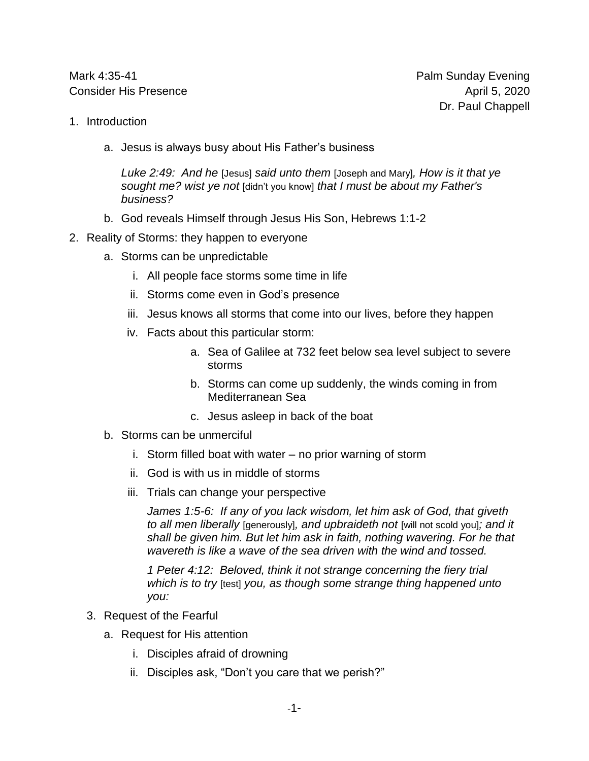Mark 4:35-41 **Palm Sunday Evening** Consider His Presence April 5, 2020

- 1. Introduction
	- a. Jesus is always busy about His Father's business

*Luke 2:49: And he* [Jesus] *said unto them* [Joseph and Mary]*, How is it that ye sought me? wist ye not* [didn't you know] *that I must be about my Father's business?*

- b. God reveals Himself through Jesus His Son, Hebrews 1:1-2
- 2. Reality of Storms: they happen to everyone
	- a. Storms can be unpredictable
		- i. All people face storms some time in life
		- ii. Storms come even in God's presence
		- iii. Jesus knows all storms that come into our lives, before they happen
		- iv. Facts about this particular storm:
			- a. Sea of Galilee at 732 feet below sea level subject to severe storms
			- b. Storms can come up suddenly, the winds coming in from Mediterranean Sea
			- c. Jesus asleep in back of the boat
	- b. Storms can be unmerciful
		- i. Storm filled boat with water no prior warning of storm
		- ii. God is with us in middle of storms
		- iii. Trials can change your perspective

*James 1:5-6: If any of you lack wisdom, let him ask of God, that giveth to all men liberally* [generously]*, and upbraideth not* [will not scold you]*; and it shall be given him. But let him ask in faith, nothing wavering. For he that wavereth is like a wave of the sea driven with the wind and tossed.*

*1 Peter 4:12: Beloved, think it not strange concerning the fiery trial which is to try* [test] *you, as though some strange thing happened unto you:*

- 3. Request of the Fearful
	- a. Request for His attention
		- i. Disciples afraid of drowning
		- ii. Disciples ask, "Don't you care that we perish?"